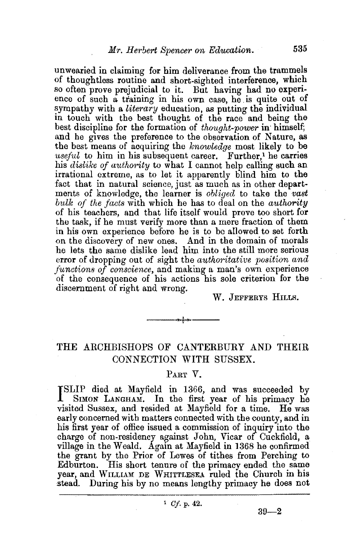unwearied in claiming for him deliverance from the trammels of thoughtless routine and short-sighted interference, which so often prove prejudicial to it. But having had no experience of such a training in his own case, he is quite out of sympathy with a *literary* education, as putting the individual in touch with the best thought of the race and being the best discipline for the formation of *thought-power* in himself; and he gives the preference to the observation of Nature, as the best means of acquiring the *knowledge* most likely to be *useful* to him in his subsequent career. Further,<sup>1</sup> he carries his *dislike of authority* to what I cannot help calling such an irrational extreme, as to let it apparently blind him to the fact that in natural science, just as much as in other departments of knowledge, the learner is *obliged* to take the *vast bulk of the facts* with which he has to deal on the *authority*  of his teachers, and that life itself would prove too short for the task, if he must verify more than a mere fraction of them in his own experience before he is to be allowed to set forth on the discovery of new ones. And in the domain of morals he lets the same dislike lead him into the still more serious error of dropping out of sight the *authoritative position and junctions of conscience,* and making a man's own experience of the consequence of his actions his sole criterion for the discernment of right and wrong.

W. JEFFERYS HILLS.

## THE ARCHBISHOPS OF CANTERBURY AND THEIR CONNECTION WITH SUSSEX.

 $\overline{\phantom{a}}$ 

## PART V.

ISLIP died at Mayfield in 1366, and was succeeded by SIMON LANGHAM. In the first year of his primacy he SLIP died at Mayfield in 1366, and was succeeded by visited Sussex, and resided at Mayfield for a time. He was early concerned with matters connected with the county, and in his first year of office issued a commission of inquiry into the charge of non-residency against John, Vicar of Cuckfield, a village in the Weald. Again at Mayfield in 1368 he confirmed the grant by the Prior of Lewes of tithes from Perching to Edburton. His short tenure of the primacy ended the same year, and WILLIAM DE WHITTLESEA ruled the Church in his stead. During his by no means lengthy primacy he does not

 $39 - 2$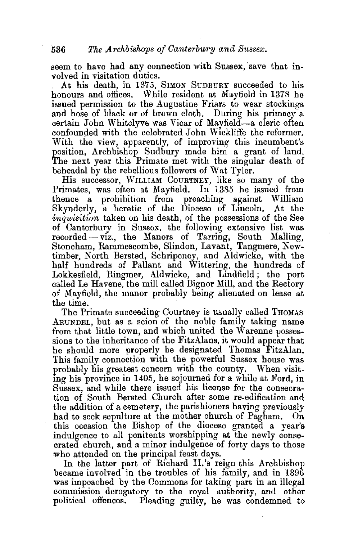seem to have had any connection with Sussex, save that involved in visitation duties.

At his death, in 1375, SIMON SUDBURY succeeded to his honours and offices. While resident at Mayfield in 1378 be issued permission to the Augustine Friars to wear stockings and hose of black or of brown cloth. During his primacy a certain John Whitclyve was Vicar of Mayfield-a cleric often confounded with the celebrated John Wickliffe the reformer. With the view, apparently, of improving this incumbent's position, Archbishop Sudbury made him a grant of land. The next year this Primate met with the singular death of beheadal by the rebellious followers of Wat Tyler.

His successor, WILLIAM CouRTNEY, like so many of the Primates, was often at Mayfield. In 1385 he issued from thence a prohibition from preaching against William Skynderly, a heretic of the Diocese of Lincoln. At the *inquisition* taken on his death, of the possessions of the See of Canterbury in Sussex, the following extensive list was recorded - viz., the Manors of Tarring, South Malling, Stoneham, Rammescombe, Slindon, Lavant, Tangmere, Newtimber, North Bersted, Schripeney, and Aldwicke, with the half hundreds of Pallant and Wittering, the hundreds of Lokkesfield, Ringmer, Aldwicke, and Lindfield; the port called Le Havene, the mill called Bignor Mill, and the Rectory of Mayfield, the manor probably being alienated on lease at the time.

The Primate succeeding Courtney is usually called THOMAS ARUNDEL, but as a scion of the noble family taking name from that little town, and which united the Warenne possessions to the inheritance of the FitzAlans, it would appear that he should more properly be designated Thomas FitzAlan. This family connection with the powerful Sussex bouse was probably his greatest concern with the county. When visiting his province in 1405, he sojourned for a while at Ford, in Sussex, and while there issued his license for the consecration of South Bersted Church after some re-edification and the addition of a cemetery, the parishioners having previously had to seek sepulture at the mother church of Pagham. On this occasion the Bishop of the diocese granted a year's indulgence to all penitents worshipping at the newly consecrated church, and a minor indulgence of forty days to those who attended on the principal feast days.

In the latter part of Richard II.'s reign this Archbishop became involved in the troubles of his family, and in 1396 was impeached by the Commons for taking part in an illegal commission derogatory to the royal authority, and other political offences. Pleading guilty, he was condemned to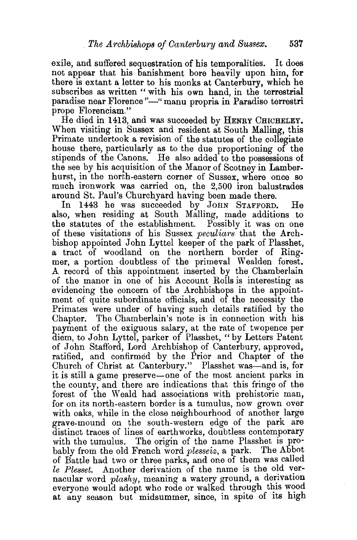exile, and suffered sequestration of his temporalities. It does not appear that his banishment bore heavily upon him, for there is extant a letter to his monks at Canterbury, which he subscribes as written " with his own hand, in the terrestrial paradise near Florence''-" manu propria in Paradiso terrestri prope Florenciam."

He died in 1413, and was succeeded by HENRY CHICHELEY. When visiting in Sussex and resident at South Malling, this Primate undertook a revision of the statutes of the collegiate house there, particularly as to the due proportioning of the stipends of the Canons. He also added to the possessions of the see by his acquisition of the Manor of Scotney in Lamberhurst, in the north-eastern corner of Sussex, where once so much ironwork was carried on, the 2,500 iron balustrades around St. Paul's Churchyard having been made there.

In 1443 he was succeeded by JOHN STAFFORD. He also, when residing at South Mailing, made additions to the statutes of the establishment. Possiblv it was on one of these visitations of his Sussex *peculiars"* that the Archbishop appointed John Lyttel keeper of the park of Plasshet, a tract of woodland on the northern border of Ringmer, a portion doubtless of the primeval Wealden forest. A record of this appointment inserted by the Chamberlain of the manor in one of his Account Rolls is interesting as evidencing the concern of the Archbishops in the appointment of quite subordinate officials, and of the necessity the Primates were under of having such details ratified by the Chapter. The Chamberlain's note is in connection with his payment of the exiguous salary, at the rate of twopence per diem, to John Lyttel, parker of Plasshet, " by Letters Patent of John Stafford, Lord Archbishop of Canterbury, approved, ratified, and confirmed by the Prior and Chapter of the Church of Christ at Canterbury." Plasshet was-and is, for it is still a game preserve-one of the most ancient parks in the county, and there are indications that this fringe of the forest of the Weald had associations with prehistoric man, for on its north-eastern border is a tumulus, now grown over with oaks, while in the close neighbourhood of another large grave-mound on the south-western edge of the park are distinct traces of lines of earthworks, doubtless contemporary with the tumulus. The origin of the name Plasshet is probably from the old French word *plesseiz,* a park. The Abbot of Battle had two or three parks, and one of them was called *le Plesset.* Another derivation of the name is the old vernacular word *plashy*, meaning a watery ground, a derivation everyone would adopt who rode or walked through this wood at any season but midsummer, since, in spite of its high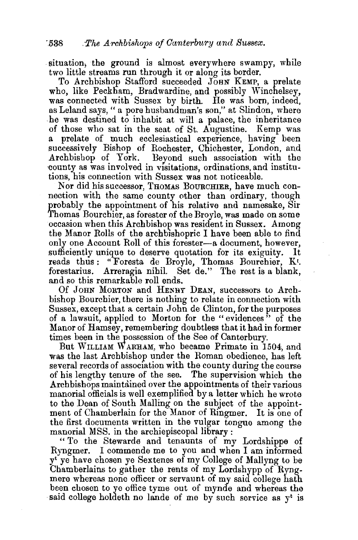situation, the ground is almost everywhere swampy, while two little streams run through it or along its border.

To Archbishop Stafford succeeded JOHN KEMP, a prelate who, like Peckham, Bradwardine, and possibly Winchelsey, was connected with Sussex by birth. He was born, indeed, as Leland says, " a pore husbandman's son," at Slindon, where he was destined to inhabit at will a palace, the inheritance of those who sat in the seat of St. Augustine. Kemp was a prelate of much ecclesiastical experience, having been successively Bishop of Rochester, Chichester, London, and Archbishop of York. Bevond such association with the Beyond such association with the county as was involved in visitations, ordinations, and institutions, his connection with Sussex was not noticeable.

Nor did his successor, THOMAS BOURCHIER, have much connection with the same county other than ordinary, though probably the appointment of his relative and namesake, Sir Thomas Bourchier, as forester of the Broyle, was made on some occasion when this Archbishop was resident in Sussex. Among the Manor Rolls of the archbishopric I have been able to find only one Account Roll of this forester-a document, however, sufficiently unique to deserve quotation for its exiguity. It reads thus: "Foresta de Broyle, Thomas Bourchier, Kt. forestarius. Arreragia nihil. Set de." The rest is a blank, and so this remarkable roll ends.

Of JoHN MoRTON and HENDY DEAN, successors to Archbishop Bourchier, there is nothing to relate in connection with Sussex, except that a certain John de Clinton, for the purposes of a lawsuit, applied to Morton for the " evidences" of the Manor of Ramsey, remembering doubtless that it had in former times been in the possession of the See of Canterbury.

But WILLIAM W ARHAM, who became Primate in 1504, and was the last Archbishop under the Roman obedience, has left several records of association with the county during the course of his lengthy tenure of the see. The supervision which the Archbishops maintained over the appointments of their various manorial officials is well exemplified by a letter which he wrote to the Dean of South Mailing on the subject of the appointment of Chamberlain for the Manor of Ringmer. It is one of the first documents written in the vulgar tongue among the manorial MSS. in the archiepiscopal library :

" To the Stewarde and tenaunts of my Lordshippe of Ryngmer. I commende me to you and when I am informed yt ye have chosen ye Sextenes of my College of Mallyng to be Chamberlains to gather the rents of my Lordshypp of Ryngmere whereas none officer or servaunt of my said college hath been chosen to ye office tyme out of mynde and whereas the said college holdeth no lande of me by such service as  $v^t$  is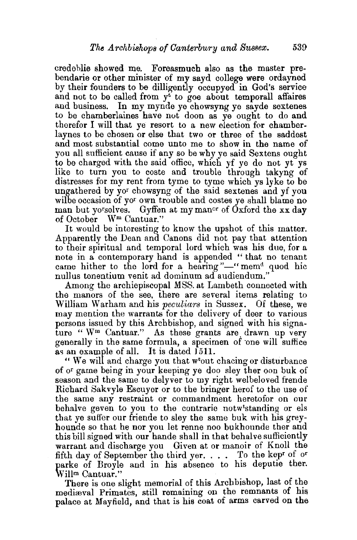credeblie showed me. Foreasmuch also as the master prebendarie or other minister of my sayd college were ordayned by their founders to be dilligently occupyed in God's service and not to be called from  $y^t$  to goe about temporall affaires and business. In my mynde ye chowsyng ye sayde sextenes to be chamberlaines have nut doon as ye ought to do and therefor I will that ye resort to a new election for chamberlaynes to be chosen or else that two or three of the saddest and most substantial come unto me to show in the name of you all sufficient cause if any so be why ye said Sextens ought to be charged with the said office, which yf ye do not yt ys like to turn you to coste and trouble through takyng of distresses for my rent from tyme to tyme which ys lyke to be ungathered by yor chowsyng of the said sextenes and yf you wilbe occasion of yor own trouble and costes ye shall blame no man but yorselves. Gyffen at my manor of Oxford the xx day of October Wm Cantuar."

It would be interesting to know the upshot of this matter. Apparently the Dean and Canons did not pay that attention to their spiritual and temporal lord which was his due, for a note in a contemporary hand is appended " that no tenant came hither to the lord for a hearing"-" memd quod hic nullus tonentium venit ad dominum ad audiendum."

Among the archiepiscopal MSS. at Lambeth connected with the manors of the see, there are several items relating to William W arham and his *peculiars* in Sussex. Of these, we may mention the warrants for the delivery of deer to various persons issued by this Archbishop, and signed with his signature " W<sup>m</sup> Cantuar." As these grants are drawn up very generally in the same formula, a specimen of one will suffice as an example of all. It is dated 1511.

" We wil and charge you that wtout chacing or disturbance of or game being in your keeping ye doo sley ther oon buk of season and the same to delyver to my right welbeloved frende Richard Sakvyle Escuyer or to the bringer herof to the use of the same any restraint or commandment heretofor on our behalve geven to you to the contrarie notwtstanding or els that ye suffer our friende to sley the same buk with his greyhounde so that he nor you let renne noo bukhounde ther and this bill signed with our hande shall in that behalve sufficiently warrant and discharge you Given at or manoir of Knoll the fifth day of September the third yer. . . . To the kepr of or parke of Broyle and in his absence to his deputie ther. Willm Cantuar."

There is one slight memorial of this Archbishop, last of the mediæval Primates, still remaining on the remnants of his palace at Mayfield, and that is his coat of arms carved on the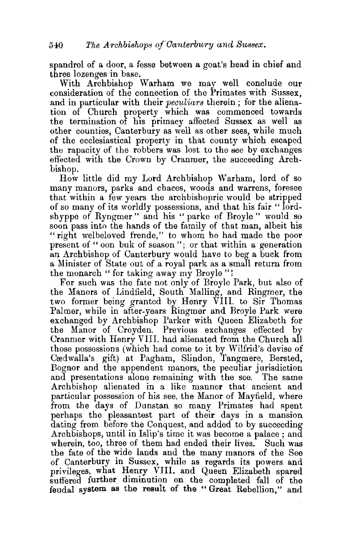spandrel of a door, a fesse between a goat's head in chief and three lozenges in base.

With Archbishop Warham we may well conclude our consideration of the connection of the Primates with Sussex, and in particular with their *peculiars* therein ; for the alienation of Church property which was commenced towards the termination of his primacy affected Sussex as well as other counties, Canterbury as well as other sees, while much of the ecclesiastical property in that county which escaped the rapacity of the robbers was lost to the see by exchanges effected with the Crown by Cranmer, the succeeding Archbishop.

How little did my Lord Archbishop Warham, lord of so many manors, parks and chaces, woods and warrens, foresee that within a few years the archbishopric would be stripped of so many of its worldly possessions, and that his fair "lordshyppe of Ryngmer" and his "parke of Broyle " would so soon pass into the hands of the family of that man, albeit his "right welbeloved frende," to whom he had made the poor present of " oon buk of season"; or that within a generation an Archbishop of Canterbury would have to beg a buck from a Minister of State out of a royal park as a small return from the monarch "for taking away my Broyle "!

For such was the fate not only of Broyle Park, but also of the Manors of Lindfield, South Malling, and Ringmer, the two former being granted by Henry VIII. to Sir Thomas Palmer, while in after-years Ringmer and Broyle Park were exchanged by Archbishop Parker with Queen Elizabeth for the Manor of Croyden. Previous exchanges effected by Cranmer with Henry VIII. had alienated from the Church all those possessions (which had come to it by Wilfrid's devise of Credwalla's gift) at Pagham, Slindon, Tangmere, Bersted, Bognor and the appendant manors, the peculiar jurisdiction and presentations alone remaining with the see. The same Archbishop alienated in a like manner that ancient and particular possession of his see, the Manor of Mayfield, where from the days of Dunstan so many Primates had spent perhaps the pleasantest part of their days in a mansion dating from before the Conquest, and added to by succeeding Archbishops, until in Islip's time it was become a palace ; and wherein, too, three of them had ended their lives. Such was the fate of the wide lands and the many manors of the See of Canterbury in Sussex, while as regards its powers and privileges, what Henry VIII. and Queen Elizabeth spared suffered further diminution on the completed fall of the feudal system as the result of the " Great Rebellion," and